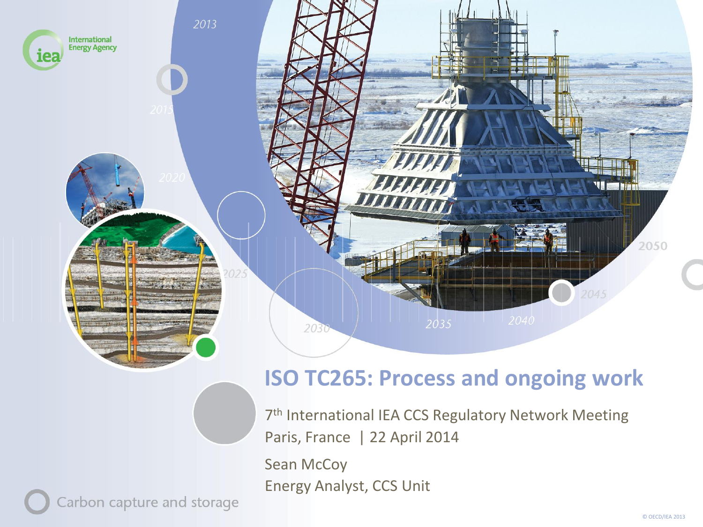

#### **ISO TC265: Process and ongoing work**

7<sup>th</sup> International IEA CCS Regulatory Network Meeting Paris, France | 22 April 2014

Sean McCoy Energy Analyst, CCS Unit

Carbon capture and storage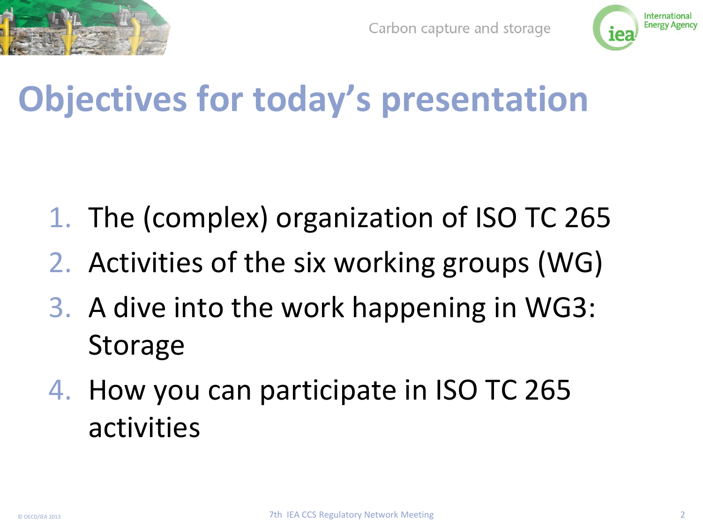



# **Objectives for today's presentation**

- 1. The (complex) organization of ISO TC 265
- 2. Activities of the six working groups (WG)
- 3. A dive into the work happening in WG3: **Storage**
- 4. How you can participate in ISO TC 265 activities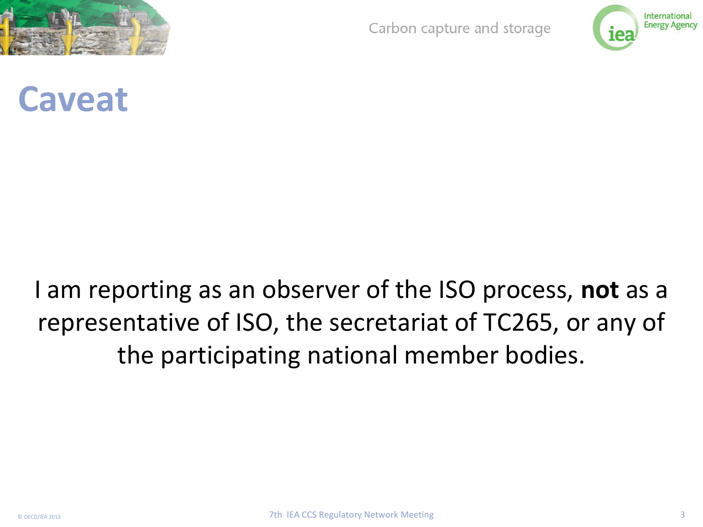

Carbon capture and storage



#### **Caveat**

#### I am reporting as an observer of the ISO process, **not** as a representative of ISO, the secretariat of TC265, or any of the participating national member bodies.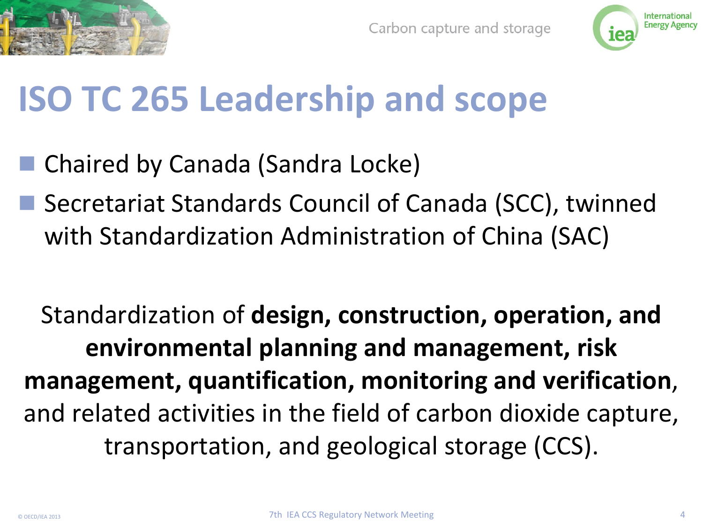



# **ISO TC 265 Leadership and scope**

- Chaired by Canada (Sandra Locke)
- Secretariat Standards Council of Canada (SCC), twinned with Standardization Administration of China (SAC)

Standardization of **design, construction, operation, and environmental planning and management, risk management, quantification, monitoring and verification**, and related activities in the field of carbon dioxide capture, transportation, and geological storage (CCS).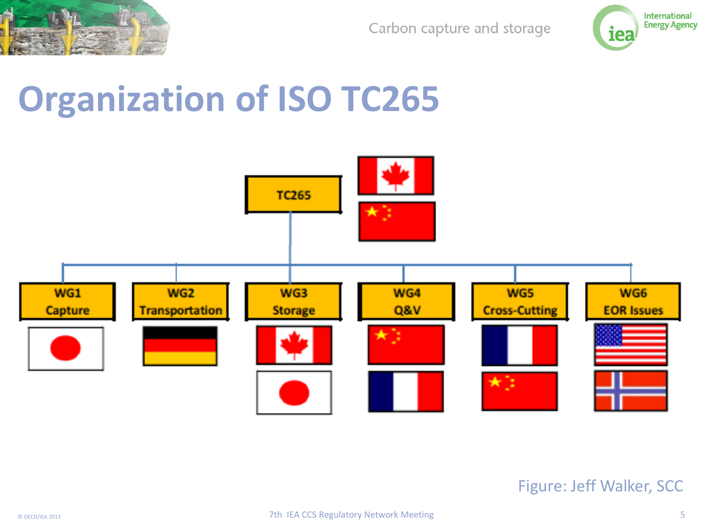

Carbon capture and storage



## **Organization of ISO TC265**



#### Figure: Jeff Walker, SCC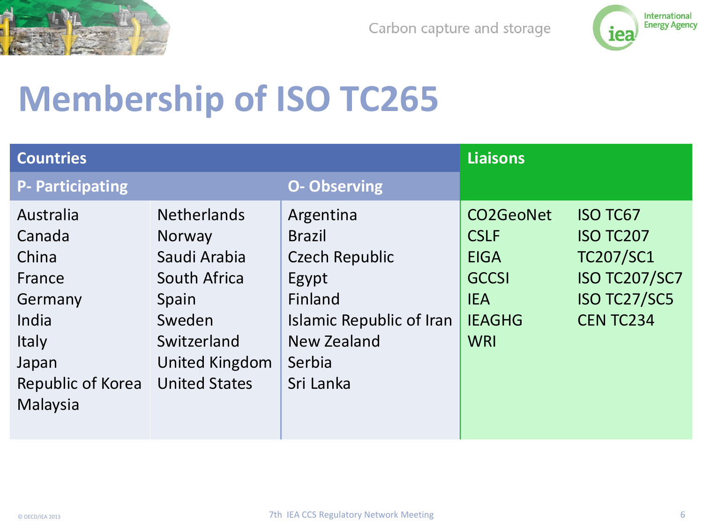



# **Membership of ISO TC265**

| <b>Countries</b>                                           |                                                                                        |                                                                                                     | <b>Liaisons</b>                                                                        |                                                                                                                    |
|------------------------------------------------------------|----------------------------------------------------------------------------------------|-----------------------------------------------------------------------------------------------------|----------------------------------------------------------------------------------------|--------------------------------------------------------------------------------------------------------------------|
| <b>P- Participating</b>                                    |                                                                                        | <b>O- Observing</b>                                                                                 |                                                                                        |                                                                                                                    |
| Australia<br>Canada<br>China<br>France<br>Germany<br>India | <b>Netherlands</b><br><b>Norway</b><br>Saudi Arabia<br>South Africa<br>Spain<br>Sweden | Argentina<br><b>Brazil</b><br><b>Czech Republic</b><br>Egypt<br>Finland<br>Islamic Republic of Iran | CO2GeoNet<br><b>CSLF</b><br><b>EIGA</b><br><b>GCCSI</b><br><b>IEA</b><br><b>IEAGHG</b> | <b>ISO TC67</b><br><b>ISO TC207</b><br><b>TC207/SC1</b><br><b>ISO TC207/SC7</b><br>ISO TC27/SC5<br><b>CENTC234</b> |
| <b>Italy</b><br>Japan<br>Republic of Korea<br>Malaysia     | Switzerland<br>United Kingdom<br><b>United States</b>                                  | New Zealand<br>Serbia<br>Sri Lanka                                                                  | <b>WRI</b>                                                                             |                                                                                                                    |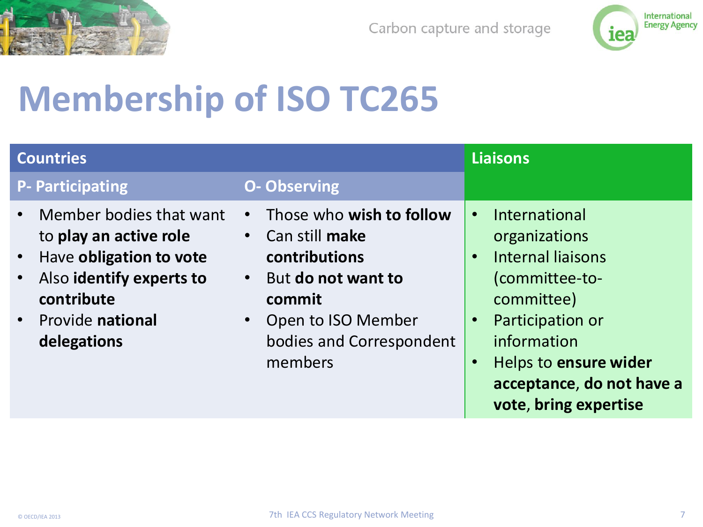



# **Membership of ISO TC265**

| <b>Countries</b>                                                                                                                                                                                   |                                                                                                                                                                       | <b>Liaisons</b>                                                                                                                                                                                                                                                  |
|----------------------------------------------------------------------------------------------------------------------------------------------------------------------------------------------------|-----------------------------------------------------------------------------------------------------------------------------------------------------------------------|------------------------------------------------------------------------------------------------------------------------------------------------------------------------------------------------------------------------------------------------------------------|
| <b>P- Participating</b>                                                                                                                                                                            | <b>O- Observing</b>                                                                                                                                                   |                                                                                                                                                                                                                                                                  |
| Member bodies that want<br>$\bullet$<br>to play an active role<br>Have obligation to vote<br>$\bullet$<br>Also identify experts to<br>$\bullet$<br>contribute<br>• Provide national<br>delegations | Those who wish to follow<br>Can still make<br>contributions<br>But do not want to<br>$\bullet$<br>commit<br>Open to ISO Member<br>bodies and Correspondent<br>members | International<br>$\bullet$<br>organizations<br><b>Internal liaisons</b><br>$\bullet$<br>(committee-to-<br>committee)<br>Participation or<br>$\bullet$<br>information<br>Helps to ensure wider<br>$\bullet$<br>acceptance, do not have a<br>vote, bring expertise |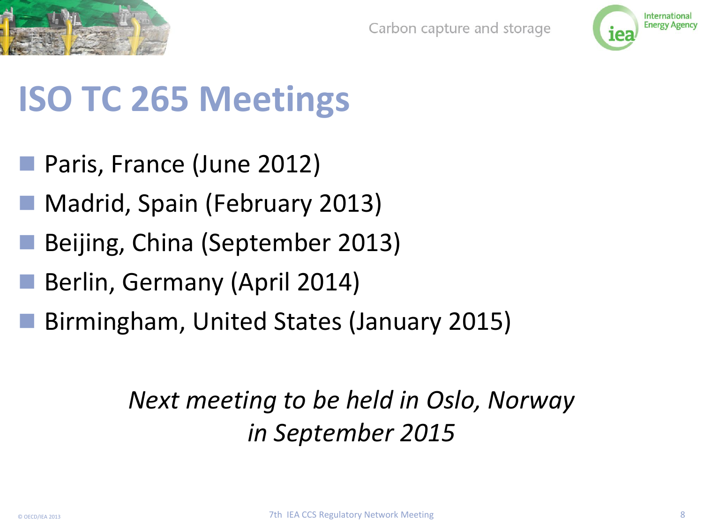



# **ISO TC 265 Meetings**

- Paris, France (June 2012)
- Madrid, Spain (February 2013)
- Beijing, China (September 2013)
- Berlin, Germany (April 2014)
- Birmingham, United States (January 2015)

#### *Next meeting to be held in Oslo, Norway in September 2015*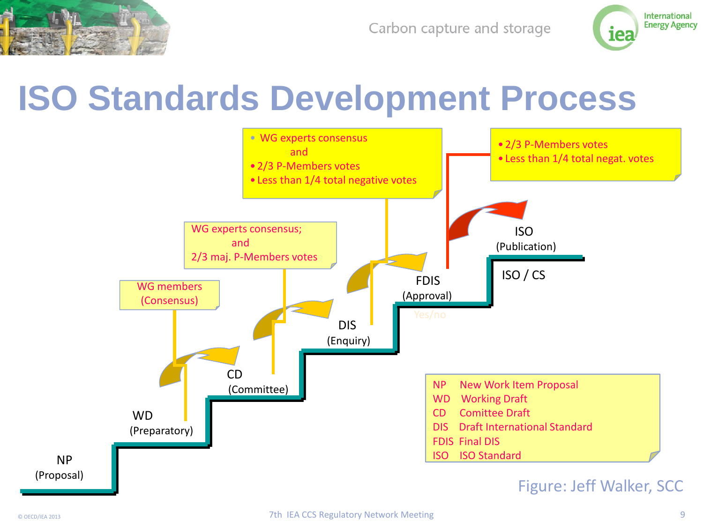

Carbon capture and storage



### **ISO Standards Development Process**

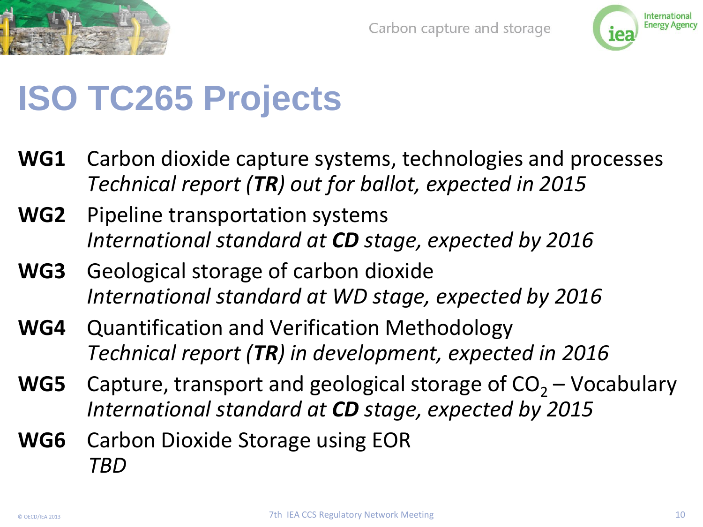



## **ISO TC265 Projects**

- **WG1** Carbon dioxide capture systems, technologies and processes *Technical report (TR) out for ballot, expected in 2015*
- **WG2** Pipeline transportation systems *International standard at CD stage, expected by 2016*
- **WG3** Geological storage of carbon dioxide *International standard at WD stage, expected by 2016*
- **WG4** Quantification and Verification Methodology *Technical report (TR) in development, expected in 2016*
- **WG5** Capture, transport and geological storage of  $CO<sub>2</sub> Vocabulary$ *International standard at CD stage, expected by 2015*
- **WG6** Carbon Dioxide Storage using EOR *TBD*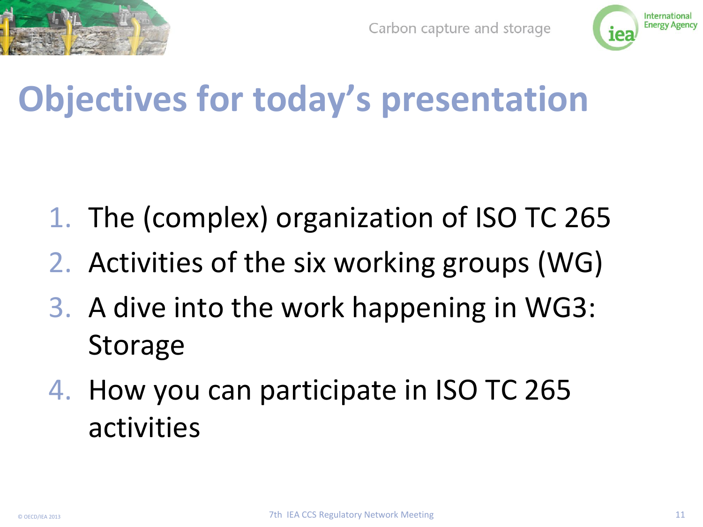



# **Objectives for today's presentation**

- 1. The (complex) organization of ISO TC 265
- 2. Activities of the six working groups (WG)
- 3. A dive into the work happening in WG3: **Storage**
- 4. How you can participate in ISO TC 265 activities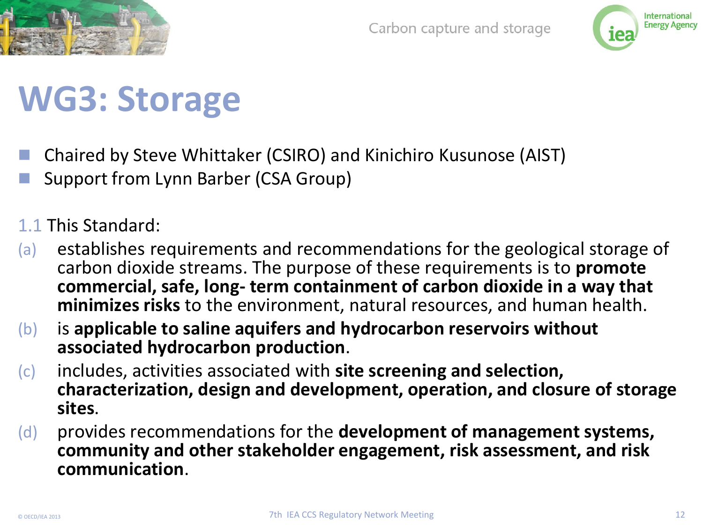



# **WG3: Storage**

- Chaired by Steve Whittaker (CSIRO) and Kinichiro Kusunose (AIST)
- Support from Lynn Barber (CSA Group)
- 1.1 This Standard:
- (a) establishes requirements and recommendations for the geological storage of carbon dioxide streams. The purpose of these requirements is to **promote commercial, safe, long- term containment of carbon dioxide in a way that minimizes risks** to the environment, natural resources, and human health.
- (b) is **applicable to saline aquifers and hydrocarbon reservoirs without associated hydrocarbon production**.
- (c) includes, activities associated with **site screening and selection, characterization, design and development, operation, and closure of storage sites**.
- (d) provides recommendations for the **development of management systems, community and other stakeholder engagement, risk assessment, and risk communication**.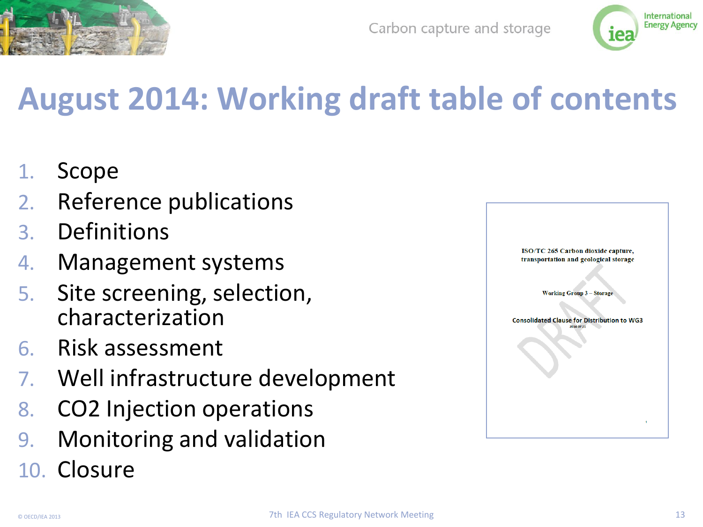



## **August 2014: Working draft table of contents**

- 1. Scope
- 2. Reference publications
- 3. Definitions
- 4. Management systems
- 5. Site screening, selection, characterization
- 6. Risk assessment
- 7. Well infrastructure development
- 8. CO2 Injection operations
- 9. Monitoring and validation
- 10. Closure

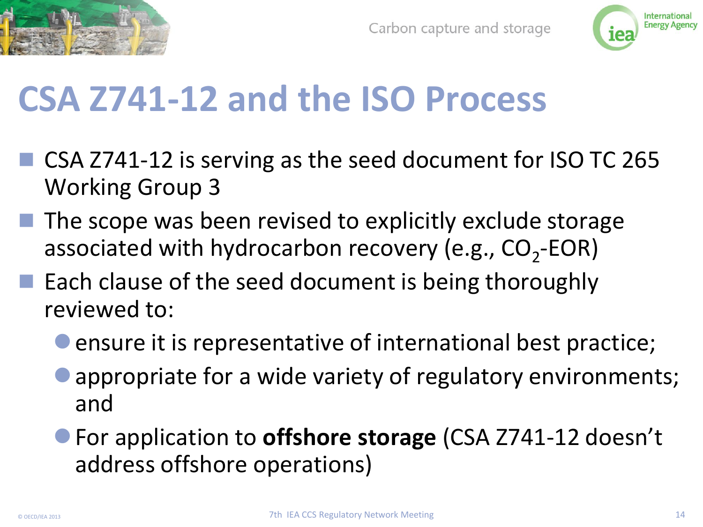



# **CSA Z741-12 and the ISO Process**

- CSA Z741-12 is serving as the seed document for ISO TC 265 Working Group 3
- $\blacksquare$  The scope was been revised to explicitly exclude storage associated with hydrocarbon recovery (e.g.,  $CO_2$ -EOR)
- $\blacksquare$  Each clause of the seed document is being thoroughly reviewed to:
	- ensure it is representative of international best practice;
	- appropriate for a wide variety of regulatory environments; and
	- For application to **offshore storage** (CSA Z741-12 doesn't address offshore operations)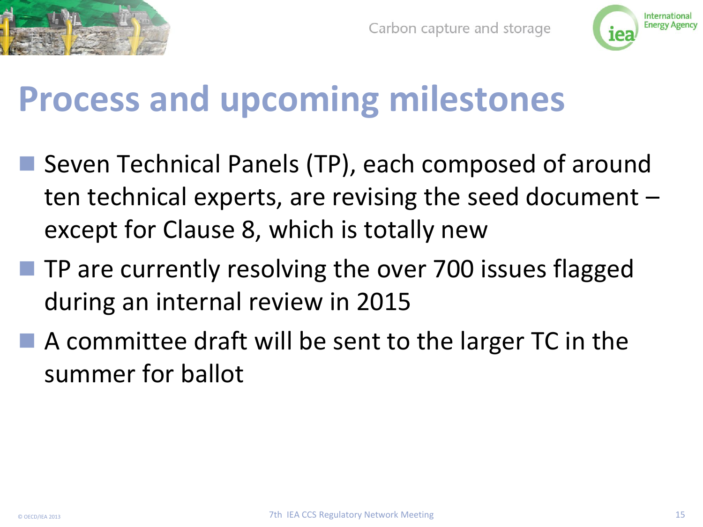



## **Process and upcoming milestones**

- Seven Technical Panels (TP), each composed of around ten technical experts, are revising the seed document – except for Clause 8, which is totally new
- $\blacksquare$  TP are currently resolving the over 700 issues flagged during an internal review in 2015
- $\blacksquare$  A committee draft will be sent to the larger TC in the summer for ballot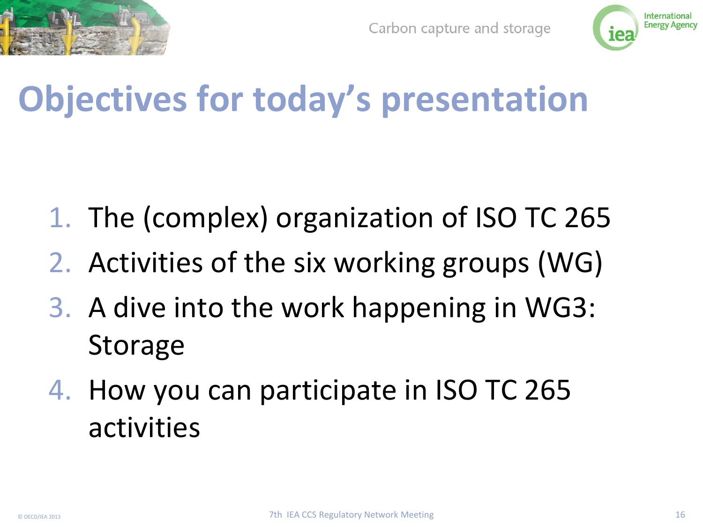



# **Objectives for today's presentation**

- 1. The (complex) organization of ISO TC 265
- 2. Activities of the six working groups (WG)
- 3. A dive into the work happening in WG3: **Storage**
- 4. How you can participate in ISO TC 265 activities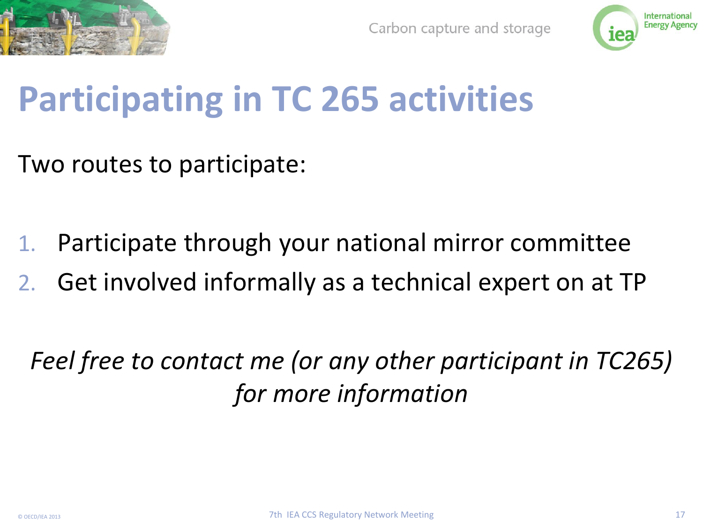



# **Participating in TC 265 activities**

Two routes to participate:

- 1. Participate through your national mirror committee
- 2. Get involved informally as a technical expert on at TP

*Feel free to contact me (or any other participant in TC265) for more information*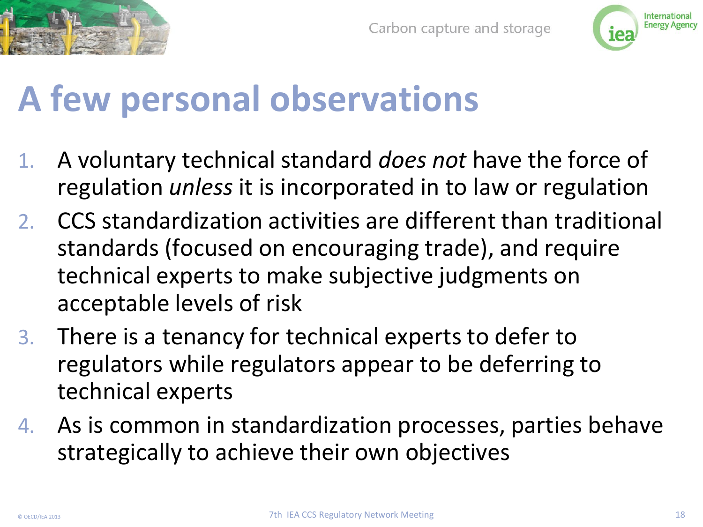



# **A few personal observations**

- 1. A voluntary technical standard *does not* have the force of regulation *unless* it is incorporated in to law or regulation
- 2. CCS standardization activities are different than traditional standards (focused on encouraging trade), and require technical experts to make subjective judgments on acceptable levels of risk
- 3. There is a tenancy for technical experts to defer to regulators while regulators appear to be deferring to technical experts
- 4. As is common in standardization processes, parties behave strategically to achieve their own objectives